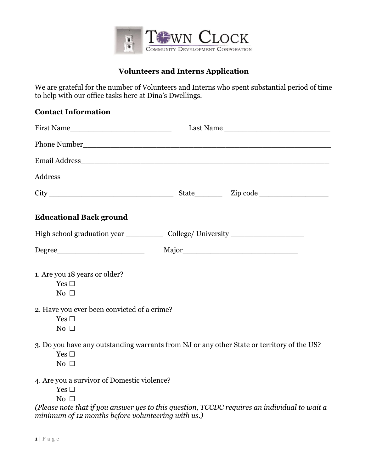

# **Volunteers and Interns Application**

We are grateful for the number of Volunteers and Interns who spent substantial period of time to help with our office tasks here at Dina's Dwellings.

#### **Contact Information**

| First Name                                                                |                                                                                              |  |
|---------------------------------------------------------------------------|----------------------------------------------------------------------------------------------|--|
|                                                                           |                                                                                              |  |
|                                                                           |                                                                                              |  |
|                                                                           |                                                                                              |  |
|                                                                           |                                                                                              |  |
| <b>Educational Back ground</b>                                            |                                                                                              |  |
|                                                                           | High school graduation year _______________ College/ University _________________            |  |
| Degree                                                                    |                                                                                              |  |
| 1. Are you 18 years or older?<br>Yes $\square$<br>No $\Box$               |                                                                                              |  |
| 2. Have you ever been convicted of a crime?<br>Yes $\square$<br>No $\Box$ |                                                                                              |  |
| Yes $\square$<br>No $\Box$                                                | 3. Do you have any outstanding warrants from NJ or any other State or territory of the US?   |  |
| 4. Are you a survivor of Domestic violence?<br>Yes $\square$<br>No $\Box$ |                                                                                              |  |
| minimum of 12 months before volunteering with us.)                        | (Please note that if you answer yes to this question, TCCDC requires an individual to wait a |  |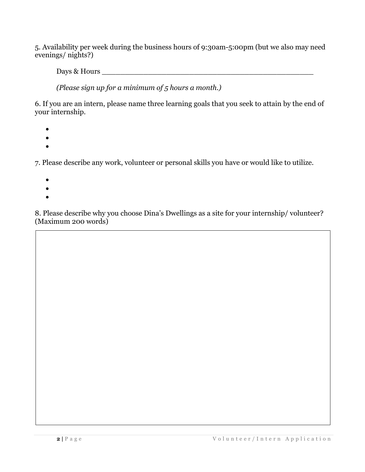5. Availability per week during the business hours of 9:30am-5:00pm (but we also may need evenings/ nights?)

Days & Hours \_\_\_\_\_\_\_\_\_\_\_\_\_\_\_\_\_\_\_\_\_\_\_\_\_\_\_\_\_\_\_\_\_\_\_\_\_\_\_\_\_\_\_\_\_\_

*(Please sign up for a minimum of 5 hours a month.)* 

6. If you are an intern, please name three learning goals that you seek to attain by the end of your internship.

- $\bullet$
- $\bullet$
- $\bullet$

7. Please describe any work, volunteer or personal skills you have or would like to utilize.

- $\bullet$
- $\bullet$
- $\bullet$

8. Please describe why you choose Dina's Dwellings as a site for your internship/ volunteer? (Maximum 200 words)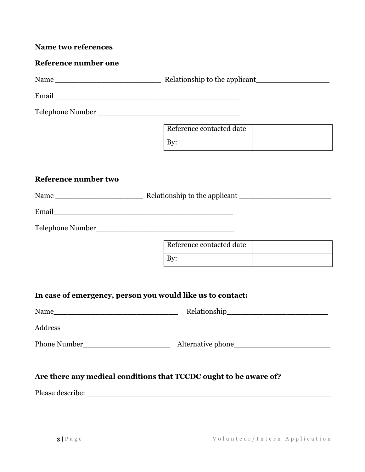#### **Name two references**

## **Reference number one**

Name \_\_\_\_\_\_\_\_\_\_\_\_\_\_\_\_\_\_\_\_\_\_\_ Relationship to the applicant\_\_\_\_\_\_\_\_\_\_\_\_\_\_\_\_

Email \_\_\_\_\_\_\_\_\_\_\_\_\_\_\_\_\_\_\_\_\_\_\_\_\_\_\_\_\_\_\_\_\_\_\_\_\_\_\_\_

Telephone Number \_\_\_\_\_\_\_\_\_\_\_\_\_\_\_\_\_\_\_\_\_\_\_\_\_\_\_\_\_\_\_

| Reference contacted date |  |
|--------------------------|--|
|                          |  |

#### **Reference number two**

| Name | Relationship to the applicant |
|------|-------------------------------|
|------|-------------------------------|

| -<br>$\bullet$<br>__ |  |  |  |
|----------------------|--|--|--|
|                      |  |  |  |

Telephone Number\_\_\_\_\_\_\_\_\_\_\_\_\_\_\_\_\_\_\_\_\_\_\_\_\_\_\_\_\_\_

| Reference contacted date |  |
|--------------------------|--|
|                          |  |

#### **In case of emergency, person you would like us to contact:**

| Name                | Relationship      |
|---------------------|-------------------|
| Address             |                   |
| <b>Phone Number</b> | Alternative phone |

### **Are there any medical conditions that TCCDC ought to be aware of?**

Please describe: